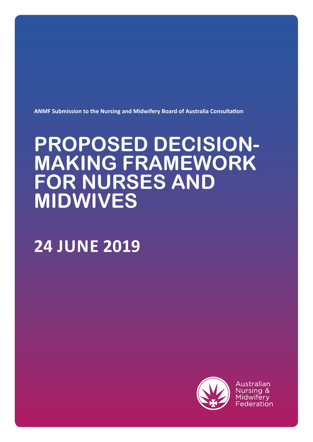

Australian Nursing & Midwifery Federation

# **24 JUNE 2019**

# **PROPOSED DECISION-MAKING FRAMEWORK FOR NURSES AND MIDWIVES**

**ANMF Submission to the Nursing and Midwifery Board of Australia Consultation**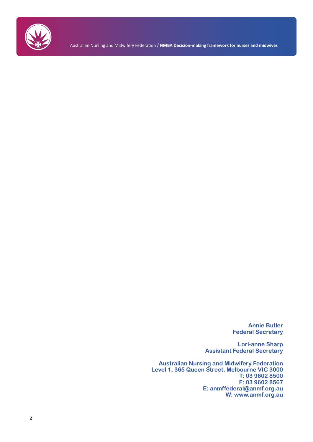

Australian Nursing and Midwifery Federation / **NMBA Decision-making framework for nurses and midwives**

**Annie Butler Federal Secretary**

**Lori-anne Sharp Assistant Federal Secretary**

**Australian Nursing and Midwifery Federation Level 1, 365 Queen Street, Melbourne VIC 3000 T: 03 9602 8500 F: 03 9602 8567 E: anmffederal@anmf.org.au W: www.anmf.org.au**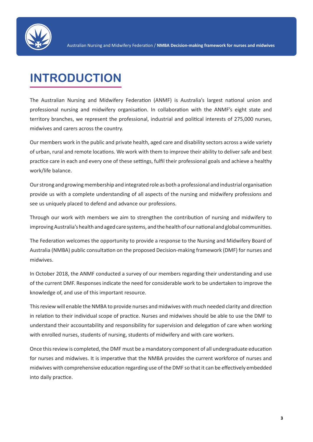

## **INTRODUCTION**

The Australian Nursing and Midwifery Federation (ANMF) is Australia's largest national union and professional nursing and midwifery organisation. In collaboration with the ANMF's eight state and territory branches, we represent the professional, industrial and political interests of 275,000 nurses, midwives and carers across the country.

Our members work in the public and private health, aged care and disability sectors across a wide variety of urban, rural and remote locations. We work with them to improve their ability to deliver safe and best practice care in each and every one of these settings, fulfil their professional goals and achieve a healthy work/life balance.

Our strong and growing membership and integrated role as both a professional and industrial organisation provide us with a complete understanding of all aspects of the nursing and midwifery professions and see us uniquely placed to defend and advance our professions.

Through our work with members we aim to strengthen the contribution of nursing and midwifery to improving Australia's health and aged care systems, and the health of our national and global communities.

The Federation welcomes the opportunity to provide a response to the Nursing and Midwifery Board of Australia (NMBA) public consultation on the proposed Decision-making framework (DMF) for nurses and midwives.

In October 2018, the ANMF conducted a survey of our members regarding their understanding and use of the current DMF. Responses indicate the need for considerable work to be undertaken to improve the knowledge of, and use of this important resource.

This review will enable the NMBA to provide nurses and midwives with much needed clarity and direction in relation to their individual scope of practice. Nurses and midwives should be able to use the DMF to understand their accountability and responsibility for supervision and delegation of care when working with enrolled nurses, students of nursing, students of midwifery and with care workers.

Once this review is completed, the DMF must be a mandatory component of all undergraduate education for nurses and midwives. It is imperative that the NMBA provides the current workforce of nurses and midwives with comprehensive education regarding use of the DMF so that it can be effectively embedded into daily practice.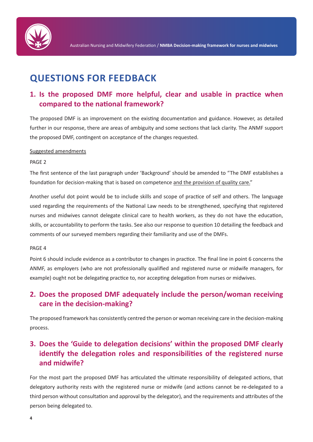

## **QUESTIONS FOR FEEDBACK**

## **1. Is the proposed DMF more helpful, clear and usable in practice when compared to the national framework?**

The proposed DMF is an improvement on the existing documentation and guidance. However, as detailed further in our response, there are areas of ambiguity and some sections that lack clarity. The ANMF support the proposed DMF, contingent on acceptance of the changes requested.

#### Suggested amendments

#### PAGE 2

The first sentence of the last paragraph under 'Background' should be amended to "The DMF establishes a foundation for decision-making that is based on competence and the provision of quality care."

Another useful dot point would be to include skills and scope of practice of self and others. The language used regarding the requirements of the National Law needs to be strengthened, specifying that registered nurses and midwives cannot delegate clinical care to health workers, as they do not have the education, skills, or accountability to perform the tasks. See also our response to question 10 detailing the feedback and comments of our surveyed members regarding their familiarity and use of the DMFs.

#### PAGE 4

Point 6 should include evidence as a contributor to changes in practice. The final line in point 6 concerns the ANMF, as employers (who are not professionally qualified and registered nurse or midwife managers, for example) ought not be delegating practice to, nor accepting delegation from nurses or midwives.

## **2. Does the proposed DMF adequately include the person/woman receiving care in the decision-making?**

The proposed framework has consistently centred the person or woman receiving care in the decision-making process.

## **3. Does the 'Guide to delegation decisions' within the proposed DMF clearly identify the delegation roles and responsibilities of the registered nurse and midwife?**

For the most part the proposed DMF has articulated the ultimate responsibility of delegated actions, that delegatory authority rests with the registered nurse or midwife (and actions cannot be re-delegated to a third person without consultation and approval by the delegator), and the requirements and attributes of the person being delegated to.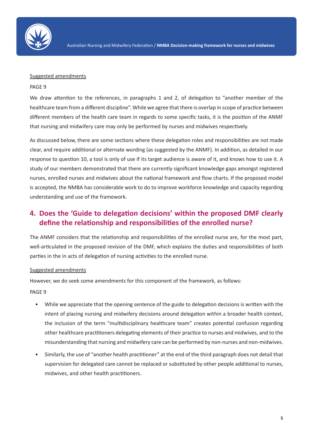

#### Suggested amendments

#### PAGE 9

We draw attention to the references, in paragraphs 1 and 2, of delegation to "another member of the healthcare team from a different discipline". While we agree that there is overlap in scope of practice between different members of the health care team in regards to some specific tasks, it is the position of the ANMF that nursing and midwifery care may only be performed by nurses and midwives respectively.

As discussed below, there are some sections where these delegation roles and responsibilities are not made clear, and require additional or alternate wording (as suggested by the ANMF). In addition, as detailed in our response to question 10, a tool is only of use if its target audience is aware of it, and knows how to use it. A study of our members demonstrated that there are currently significant knowledge gaps amongst registered nurses, enrolled nurses and midwives about the national framework and flow charts. If the proposed model is accepted, the NMBA has considerable work to do to improve workforce knowledge and capacity regarding understanding and use of the framework.

### **4. Does the 'Guide to delegation decisions' within the proposed DMF clearly define the relationship and responsibilities of the enrolled nurse?**

The ANMF considers that the relationship and responsibilities of the enrolled nurse are, for the most part, well-articulated in the proposed revision of the DMF, which explains the duties and responsibilities of both parties in the in acts of delegation of nursing activities to the enrolled nurse.

#### Suggested amendments

However, we do seek some amendments for this component of the framework, as follows:

PAGE 9

- While we appreciate that the opening sentence of the guide to delegation decisions is written with the intent of placing nursing and midwifery decisions around delegation within a broader health context, the inclusion of the term "multidisciplinary healthcare team" creates potential confusion regarding other healthcare practitioners delegating elements of their practice to nurses and midwives, and to the misunderstanding that nursing and midwifery care can be performed by non-nurses and non-midwives.
- Similarly, the use of "another health practitioner" at the end of the third paragraph does not detail that supervision for delegated care cannot be replaced or substituted by other people additional to nurses, midwives, and other health practitioners.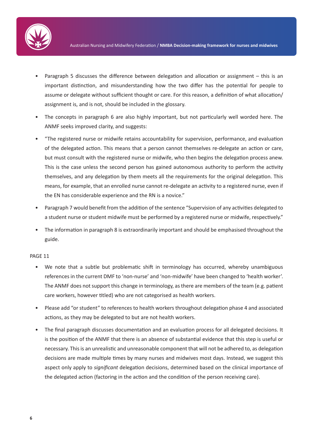

- Paragraph 5 discusses the difference between delegation and allocation or assignment this is an important distinction, and misunderstanding how the two differ has the potential for people to assume or delegate without sufficient thought or care. For this reason, a definition of what allocation/ assignment is, and is not, should be included in the glossary.
- The concepts in paragraph 6 are also highly important, but not particularly well worded here. The ANMF seeks improved clarity, and suggests:
- "The registered nurse or midwife retains accountability for supervision, performance, and evaluation of the delegated action. This means that a person cannot themselves re-delegate an action or care, but must consult with the registered nurse or midwife, who then begins the delegation process anew. This is the case unless the second person has gained autonomous authority to perform the activity themselves, and any delegation by them meets all the requirements for the original delegation. This means, for example, that an enrolled nurse cannot re-delegate an activity to a registered nurse, even if the EN has considerable experience and the RN is a novice."
- Paragraph 7 would benefit from the addition of the sentence "Supervision of any activities delegated to a student nurse or student midwife must be performed by a registered nurse or midwife, respectively."
- The information in paragraph 8 is extraordinarily important and should be emphasised throughout the guide.

#### PAGE 11

- We note that a subtle but problematic shift in terminology has occurred, whereby unambiguous references in the current DMF to 'non-nurse' and 'non-midwife' have been changed to 'health worker'. The ANMF does not support this change in terminology, as there are members of the team (e.g. patient care workers, however titled) who are not categorised as health workers.
- Please add "or student" to references to health workers throughout delegation phase 4 and associated actions, as they may be delegated to but are not health workers.
- The final paragraph discusses documentation and an evaluation process for all delegated decisions. It is the position of the ANMF that there is an absence of substantial evidence that this step is useful or necessary. This is an unrealistic and unreasonable component that will not be adhered to, as delegation decisions are made multiple times by many nurses and midwives most days. Instead, we suggest this aspect only apply to *significant* delegation decisions, determined based on the clinical importance of the delegated action (factoring in the action and the condition of the person receiving care).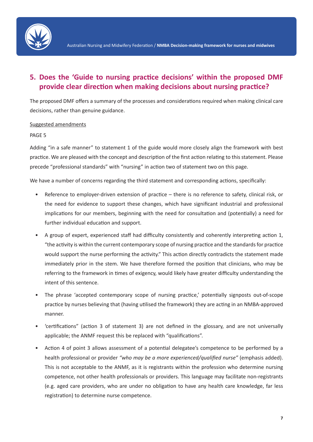

## **5. Does the 'Guide to nursing practice decisions' within the proposed DMF provide clear direction when making decisions about nursing practice?**

The proposed DMF offers a summary of the processes and considerations required when making clinical care decisions, rather than genuine guidance.

#### Suggested amendments

#### PAGE 5

Adding "in a safe manner" to statement 1 of the guide would more closely align the framework with best practice. We are pleased with the concept and description of the first action relating to this statement. Please precede "professional standards" with "nursing" in action two of statement two on this page.

We have a number of concerns regarding the third statement and corresponding actions, specifically:

- Reference to employer-driven extension of practice there is no reference to safety, clinical risk, or the need for evidence to support these changes, which have significant industrial and professional implications for our members, beginning with the need for consultation and (potentially) a need for further individual education and support.
- A group of expert, experienced staff had difficulty consistently and coherently interpreting action 1, "the activity is within the current contemporary scope of nursing practice and the standards for practice would support the nurse performing the activity." This action directly contradicts the statement made immediately prior in the stem. We have therefore formed the position that clinicians, who may be referring to the framework in times of exigency, would likely have greater difficulty understanding the intent of this sentence.
- The phrase 'accepted contemporary scope of nursing practice,' potentially signposts out-of-scope practice by nurses believing that (having utilised the framework) they are acting in an NMBA-approved manner.
- 'certifications" (action 3 of statement 3) are not defined in the glossary, and are not universally applicable; the ANMF request this be replaced with "qualifications".
- Action 4 of point 3 allows assessment of a potential delegatee's competence to be performed by a health professional or provider *"who may be a more experienced/qualified nurse"* (emphasis added). This is not acceptable to the ANMF, as it is registrants within the profession who determine nursing competence, not other health professionals or providers. This language may facilitate non-registrants (e.g. aged care providers, who are under no obligation to have any health care knowledge, far less registration) to determine nurse competence.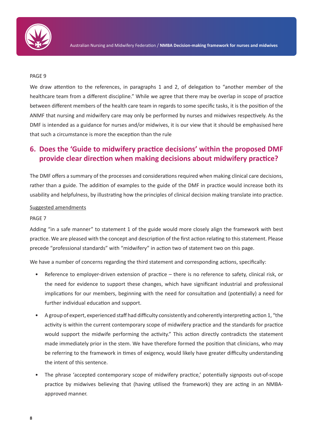

#### PAGE 9

We draw attention to the references, in paragraphs 1 and 2, of delegation to "another member of the healthcare team from a different discipline." While we agree that there may be overlap in scope of practice between different members of the health care team in regards to some specific tasks, it is the position of the ANMF that nursing and midwifery care may only be performed by nurses and midwives respectively. As the DMF is intended as a guidance for nurses and/or midwives, it is our view that it should be emphasised here that such a circumstance is more the exception than the rule

### **6. Does the 'Guide to midwifery practice decisions' within the proposed DMF provide clear direction when making decisions about midwifery practice?**

The DMF offers a summary of the processes and considerations required when making clinical care decisions, rather than a guide. The addition of examples to the guide of the DMF in practice would increase both its usability and helpfulness, by illustrating how the principles of clinical decision making translate into practice.

#### Suggested amendments

#### PAGE 7

Adding "in a safe manner" to statement 1 of the guide would more closely align the framework with best practice. We are pleased with the concept and description of the first action relating to this statement. Please precede "professional standards" with "midwifery" in action two of statement two on this page.

We have a number of concerns regarding the third statement and corresponding actions, specifically:

- Reference to employer-driven extension of practice there is no reference to safety, clinical risk, or the need for evidence to support these changes, which have significant industrial and professional implications for our members, beginning with the need for consultation and (potentially) a need for further individual education and support.
- A group of expert, experienced staff had difficulty consistently and coherently interpreting action 1, "the activity is within the current contemporary scope of midwifery practice and the standards for practice would support the midwife performing the activity." This action directly contradicts the statement made immediately prior in the stem. We have therefore formed the position that clinicians, who may be referring to the framework in times of exigency, would likely have greater difficulty understanding the intent of this sentence.
- The phrase 'accepted contemporary scope of midwifery practice,' potentially signposts out-of-scope practice by midwives believing that (having utilised the framework) they are acting in an NMBAapproved manner.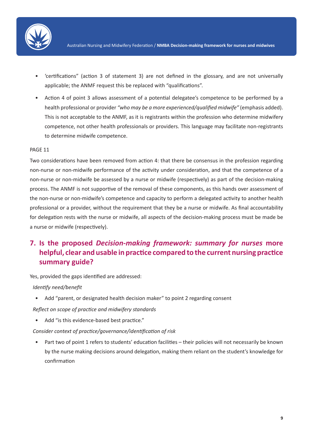

- 'certifications" (action 3 of statement 3) are not defined in the glossary, and are not universally applicable; the ANMF request this be replaced with "qualifications".
- Action 4 of point 3 allows assessment of a potential delegatee's competence to be performed by a health professional or provider *"who may be a more experienced/qualified midwife"* (emphasis added). This is not acceptable to the ANMF, as it is registrants within the profession who determine midwifery competence, not other health professionals or providers. This language may facilitate non-registrants to determine midwife competence.

#### PAGE 11

Two considerations have been removed from action 4: that there be consensus in the profession regarding non-nurse or non-midwife performance of the activity under consideration, and that the competence of a non-nurse or non-midwife be assessed by a nurse or midwife (respectively) as part of the decision-making process. The ANMF is not supportive of the removal of these components, as this hands over assessment of the non-nurse or non-midwife's competence and capacity to perform a delegated activity to another health professional or a provider, without the requirement that they be a nurse or midwife. As final accountability for delegation rests with the nurse or midwife, all aspects of the decision-making process must be made be a nurse or midwife (respectively).

## **7. Is the proposed** *Decision-making framework: summary for nurses* **more helpful, clear and usable in practice compared to the current nursing practice summary guide?**

Yes, provided the gaps identified are addressed:

#### *Identify need/benefit*

• Add "parent, or designated health decision maker" to point 2 regarding consent

*Reflect on scope of practice and midwifery standards*

• Add "is this evidence-based best practice."

#### *Consider context of practice/governance/identification of risk*

• Part two of point 1 refers to students' education facilities – their policies will not necessarily be known by the nurse making decisions around delegation, making them reliant on the student's knowledge for confirmation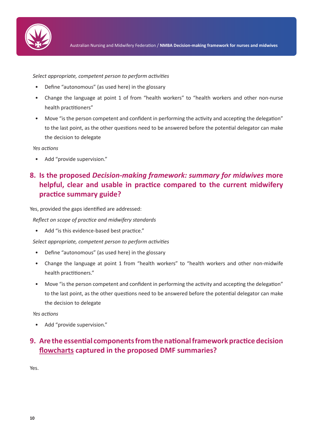

*Select appropriate, competent person to perform activities*

- Define "autonomous" (as used here) in the glossary
- Change the language at point 1 of from "health workers" to "health workers and other non-nurse health practitioners"
- Move "is the person competent and confident in performing the activity and accepting the delegation" to the last point, as the other questions need to be answered before the potential delegator can make the decision to delegate

*Yes actions*

• Add "provide supervision."

## **8. Is the proposed** *Decision-making framework: summary for midwives* **more helpful, clear and usable in practice compared to the current midwifery practice summary guide?**

Yes, provided the gaps identified are addressed:

*Reflect on scope of practice and midwifery standards*

• Add "is this evidence-based best practice."

*Select appropriate, competent person to perform activities*

- Define "autonomous" (as used here) in the glossary
- Change the language at point 1 from "health workers" to "health workers and other non-midwife health practitioners."
- Move "is the person competent and confident in performing the activity and accepting the delegation" to the last point, as the other questions need to be answered before the potential delegator can make the decision to delegate

*Yes actions*

• Add "provide supervision."

## **9. Are the essential components from the national framework practice decision flowcharts captured in the proposed DMF summaries?**

Yes.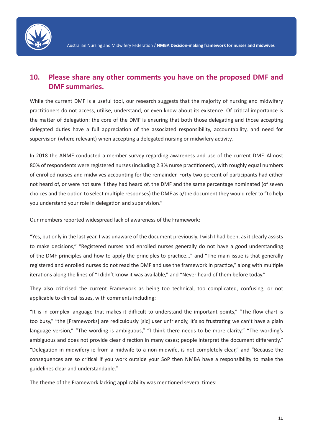

## **10. Please share any other comments you have on the proposed DMF and DMF summaries.**

While the current DMF is a useful tool, our research suggests that the majority of nursing and midwifery practitioners do not access, utilise, understand, or even know about its existence. Of critical importance is the matter of delegation: the core of the DMF is ensuring that both those delegating and those accepting delegated duties have a full appreciation of the associated responsibility, accountability, and need for supervision (where relevant) when accepting a delegated nursing or midwifery activity.

In 2018 the ANMF conducted a member survey regarding awareness and use of the current DMF. Almost 80% of respondents were registered nurses (including 2.3% nurse practitioners), with roughly equal numbers of enrolled nurses and midwives accounting for the remainder. Forty-two percent of participants had either not heard of, or were not sure if they had heard of, the DMF and the same percentage nominated (of seven choices and the option to select multiple responses) the DMF as a/the document they would refer to "to help you understand your role in delegation and supervision."

Our members reported widespread lack of awareness of the Framework:

"Yes, but only in the last year. I was unaware of the document previously. I wish I had been, as it clearly assists to make decisions," "Registered nurses and enrolled nurses generally do not have a good understanding of the DMF principles and how to apply the principles to practice…" and "The main issue is that generally registered and enrolled nurses do not read the DMF and use the framework in practice," along with multiple iterations along the lines of "I didn't know it was available," and "Never heard of them before today."

They also criticised the current Framework as being too technical, too complicated, confusing, or not applicable to clinical issues, with comments including:

"It is in complex language that makes it difficult to understand the important points," "The flow chart is too busy," "the [Frameworks] are rediculously [sic] user unfriendly, It's so frustrating we can't have a plain language version," "The wording is ambiguous," "I think there needs to be more clarity," "The wording's ambiguous and does not provide clear direction in many cases; people interpret the document differently," "Delegation in midwifery ie from a midwife to a non-midwife, is not completely clear," and "Because the consequences are so critical if you work outside your SoP then NMBA have a responsibility to make the guidelines clear and understandable."

The theme of the Framework lacking applicability was mentioned several times: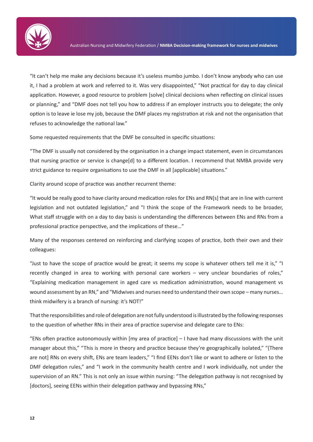

"It can't help me make any decisions because it's useless mumbo jumbo. I don't know anybody who can use it, I had a problem at work and referred to it. Was very disappointed," "Not practical for day to day clinical application. However, a good resource to problem [solve] clinical decisions when reflecting on clinical issues or planning," and "DMF does not tell you how to address if an employer instructs you to delegate; the only option is to leave ie lose my job, because the DMF places my registration at risk and not the organisation that refuses to acknowledge the national law."

Some requested requirements that the DMF be consulted in specific situations:

"The DMF is usually not considered by the organisation in a change impact statement, even in circumstances that nursing practice or service is change[d] to a different location. I recommend that NMBA provide very strict guidance to require organisations to use the DMF in all [applicable] situations."

Clarity around scope of practice was another recurrent theme:

"It would be really good to have clarity around medication roles for ENs and RN[s] that are in line with current legislation and not outdated legislation," and "I think the scope of the Framework needs to be broader, What staff struggle with on a day to day basis is understanding the differences between ENs and RNs from a professional practice perspective, and the implications of these…"

Many of the responses centered on reinforcing and clarifying scopes of practice, both their own and their colleagues:

"Just to have the scope of practice would be great; it seems my scope is whatever others tell me it is," "I recently changed in area to working with personal care workers – very unclear boundaries of roles," "Explaining medication management in aged care vs medication administration, wound management vs wound assessment by an RN," and "Midwives and nurses need to understand their own scope – many nurses… think midwifery is a branch of nursing: it's NOT!"

That the responsibilities and role of delegation are not fully understood is illustrated by the following responses to the question of whether RNs in their area of practice supervise and delegate care to ENs:

"ENs often practice autonomously within [my area of practice] – I have had many discussions with the unit manager about this," "This is more in theory and practice because they're geographically isolated," "{There are not] RNs on every shift, ENs are team leaders," "I find EENs don't like or want to adhere or listen to the DMF delegation rules," and "I work in the community health centre and I work individually, not under the supervision of an RN." This is not only an issue within nursing: "The delegation pathway is not recognised by [doctors], seeing EENs within their delegation pathway and bypassing RNs,"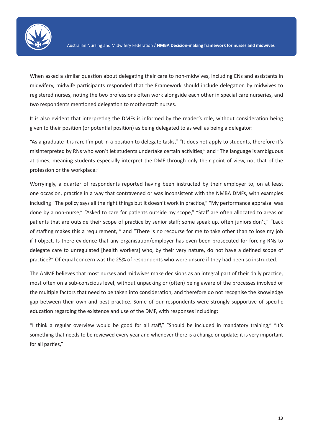

When asked a similar question about delegating their care to non-midwives, including ENs and assistants in midwifery, midwife participants responded that the Framework should include delegation by midwives to registered nurses, noting the two professions often work alongside each other in special care nurseries, and two respondents mentioned delegation to mothercraft nurses.

It is also evident that interpreting the DMFs is informed by the reader's role, without consideration being given to their position (or potential position) as being delegated to as well as being a delegator:

"As a graduate it is rare I'm put in a position to delegate tasks," "It does not apply to students, therefore it's misinterpreted by RNs who won't let students undertake certain activities," and "The language is ambiguous at times, meaning students especially interpret the DMF through only their point of view, not that of the profession or the workplace."

Worryingly, a quarter of respondents reported having been instructed by their employer to, on at least one occasion, practice in a way that contravened or was inconsistent with the NMBA DMFs, with examples including "The policy says all the right things but it doesn't work in practice," "My performance appraisal was done by a non-nurse," "Asked to care for patients outside my scope," "Staff are often allocated to areas or patients that are outside their scope of practice by senior staff; some speak up, often juniors don't," "Lack of staffing makes this a requirement, " and "There is no recourse for me to take other than to lose my job if I object. Is there evidence that any organisation/employer has even been prosecuted for forcing RNs to delegate care to unregulated [health workers] who, by their very nature, do not have a defined scope of practice?" Of equal concern was the 25% of respondents who were unsure if they had been so instructed.

The ANMF believes that most nurses and midwives make decisions as an integral part of their daily practice, most often on a sub-conscious level, without unpacking or (often) being aware of the processes involved or the multiple factors that need to be taken into consideration, and therefore do not recognise the knowledge gap between their own and best practice. Some of our respondents were strongly supportive of specific education regarding the existence and use of the DMF, with responses including:

"I think a regular overview would be good for all staff," "Should be included in mandatory training," "It's something that needs to be reviewed every year and whenever there is a change or update; it is very important for all parties,"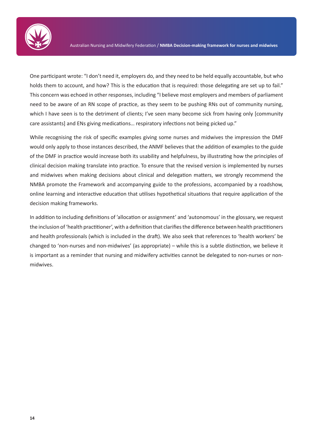

One participant wrote: "I don't need it, employers do, and they need to be held equally accountable, but who holds them to account, and how? This is the education that is required: those delegating are set up to fail." This concern was echoed in other responses, including "I believe most employers and members of parliament need to be aware of an RN scope of practice, as they seem to be pushing RNs out of community nursing, which I have seen is to the detriment of clients; I've seen many become sick from having only [community care assistants] and ENs giving medications… respiratory infections not being picked up."

While recognising the risk of specific examples giving some nurses and midwives the impression the DMF would only apply to those instances described, the ANMF believes that the addition of examples to the guide of the DMF in practice would increase both its usability and helpfulness, by illustrating how the principles of clinical decision making translate into practice. To ensure that the revised version is implemented by nurses and midwives when making decisions about clinical and delegation matters, we strongly recommend the NMBA promote the Framework and accompanying guide to the professions, accompanied by a roadshow, online learning and interactive education that utilises hypothetical situations that require application of the decision making frameworks.

In addition to including definitions of 'allocation or assignment' and 'autonomous' in the glossary, we request the inclusion of 'health practitioner', with a definition that clarifies the difference between health practitioners and health professionals (which is included in the draft). We also seek that references to 'health workers' be changed to 'non-nurses and non-midwives' (as appropriate) – while this is a subtle distinction, we believe it is important as a reminder that nursing and midwifery activities cannot be delegated to non-nurses or nonmidwives.